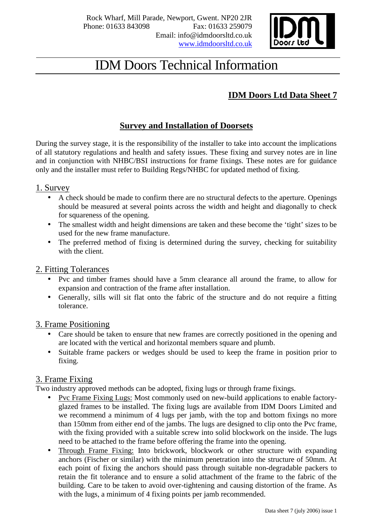

## IDM Doors Technical Information

### **IDM Doors Ltd Data Sheet 7**

#### **Survey and Installation of Doorsets**

During the survey stage, it is the responsibility of the installer to take into account the implications of all statutory regulations and health and safety issues. These fixing and survey notes are in line and in conjunction with NHBC/BSI instructions for frame fixings. These notes are for guidance only and the installer must refer to Building Regs/NHBC for updated method of fixing.

#### 1. Survey

- A check should be made to confirm there are no structural defects to the aperture. Openings should be measured at several points across the width and height and diagonally to check for squareness of the opening.
- The smallest width and height dimensions are taken and these become the 'tight' sizes to be used for the new frame manufacture.
- The preferred method of fixing is determined during the survey, checking for suitability with the client.

#### 2. Fitting Tolerances

- Pvc and timber frames should have a 5mm clearance all around the frame, to allow for expansion and contraction of the frame after installation.
- Generally, sills will sit flat onto the fabric of the structure and do not require a fitting tolerance.

#### 3. Frame Positioning

- Care should be taken to ensure that new frames are correctly positioned in the opening and are located with the vertical and horizontal members square and plumb.
- Suitable frame packers or wedges should be used to keep the frame in position prior to fixing.

#### 3. Frame Fixing

Two industry approved methods can be adopted, fixing lugs or through frame fixings.

- Pvc Frame Fixing Lugs: Most commonly used on new-build applications to enable factory glazed frames to be installed. The fixing lugs are available from IDM Doors Limited and we recommend a minimum of 4 lugs per jamb, with the top and bottom fixings no more than 150mm from either end of the jambs. The lugs are designed to clip onto the Pvc frame, with the fixing provided with a suitable screw into solid blockwork on the inside. The lugs need to be attached to the frame before offering the frame into the opening.
- Through Frame Fixing: Into brickwork, blockwork or other structure with expanding anchors (Fischer or similar) with the minimum penetration into the structure of 50mm. At each point of fixing the anchors should pass through suitable non-degradable packers to retain the fit tolerance and to ensure a solid attachment of the frame to the fabric of the building. Care to be taken to avoid over-tightening and causing distortion of the frame. As with the lugs, a minimum of 4 fixing points per jamb recommended.